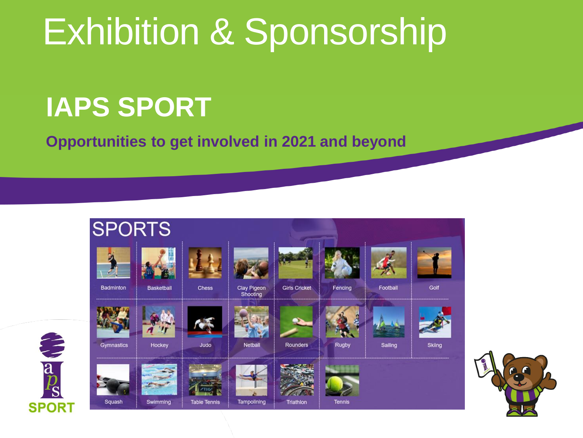## Exhibition & Sponsorship

#### **IAPS SPORT**

**Opportunities to get involved in 2021 and beyond**



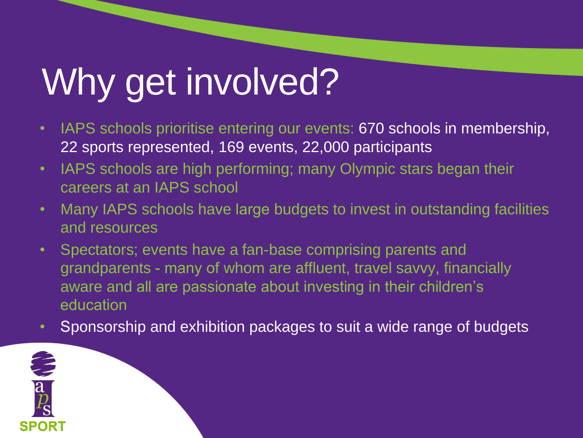# Why get involved?

- IAPS schools prioritise entering our events: 670 schools in membership, 22 sports represented, 169 events, 22,000 participants
- IAPS schools are high performing; many Olympic stars began their careers at an IAPS school
- Many IAPS schools have large budgets to invest in outstanding facilities and resources
- Spectators; events have a fan-base comprising parents and grandparents - many of whom are affluent, travel savvy, financially aware and all are passionate about investing in their children's education
- Sponsorship and exhibition packages to suit a wide range of budgets

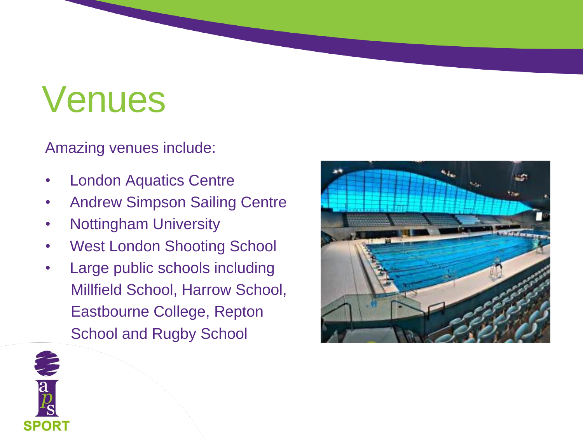## Venues

Amazing venues include:

- **London Aquatics Centre**
- Andrew Simpson Sailing Centre
- Nottingham University
- West London Shooting School
- Large public schools including Millfield School, Harrow School, Eastbourne College, Repton School and Rugby School



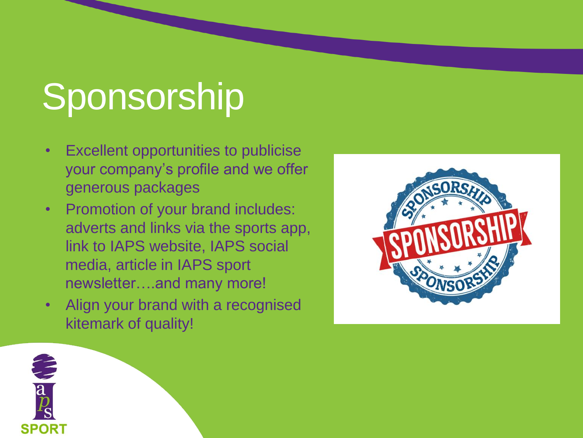# Sponsorship

- Excellent opportunities to publicise your company's profile and we offer generous packages
- Promotion of your brand includes: adverts and links via the sports app, link to IAPS website, IAPS social media, article in IAPS sport newsletter….and many more!
- Align your brand with a recognised kitemark of quality!



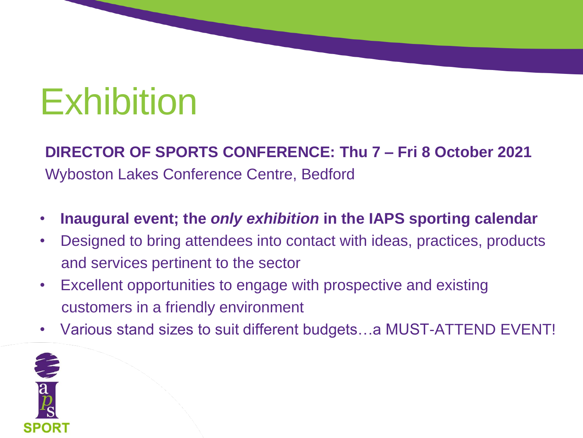## Exhibition

#### **DIRECTOR OF SPORTS CONFERENCE: Thu 7 – Fri 8 October 2021**

Wyboston Lakes Conference Centre, Bedford

- **Inaugural event; the** *only exhibition* **in the IAPS sporting calendar**
- Designed to bring attendees into contact with ideas, practices, products and services pertinent to the sector
- Excellent opportunities to engage with prospective and existing customers in a friendly environment
- Various stand sizes to suit different budgets…a MUST-ATTEND EVENT!